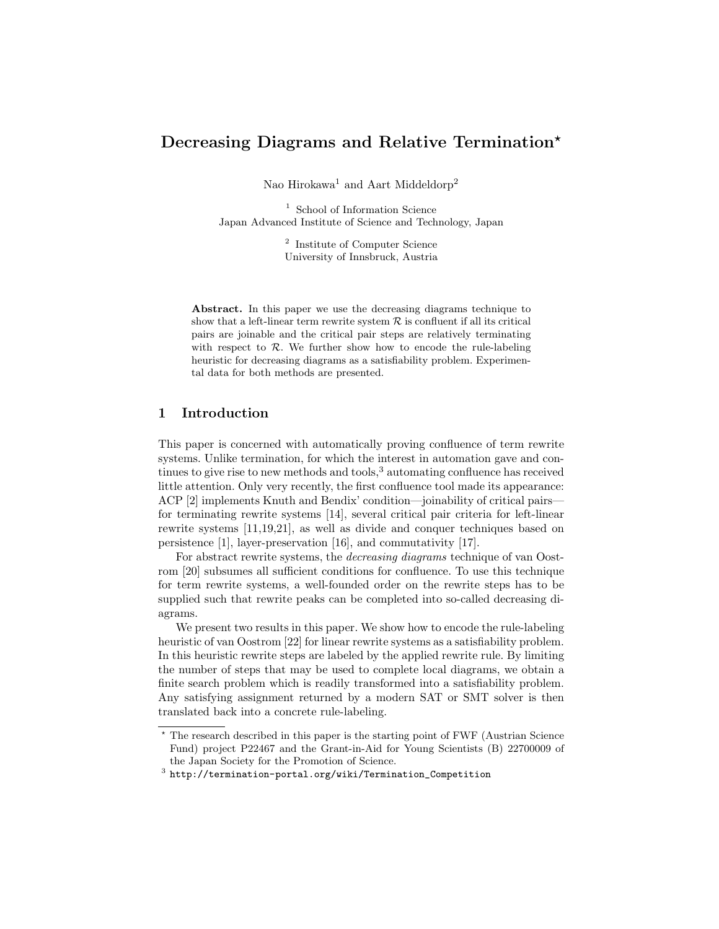# Decreasing Diagrams and Relative Termination\*

Nao Hirokawa<sup>1</sup> and Aart Middeldorp<sup>2</sup>

 $^{\rm 1}$  School of Information Science Japan Advanced Institute of Science and Technology, Japan

> 2 Institute of Computer Science University of Innsbruck, Austria

Abstract. In this paper we use the decreasing diagrams technique to show that a left-linear term rewrite system  $R$  is confluent if all its critical pairs are joinable and the critical pair steps are relatively terminating with respect to  $R$ . We further show how to encode the rule-labeling heuristic for decreasing diagrams as a satisfiability problem. Experimental data for both methods are presented.

# 1 Introduction

This paper is concerned with automatically proving confluence of term rewrite systems. Unlike termination, for which the interest in automation gave and continues to give rise to new methods and tools,  $3$  automating confluence has received little attention. Only very recently, the first confluence tool made its appearance: ACP [2] implements Knuth and Bendix' condition—joinability of critical pairs for terminating rewrite systems [14], several critical pair criteria for left-linear rewrite systems [11,19,21], as well as divide and conquer techniques based on persistence [1], layer-preservation [16], and commutativity [17].

For abstract rewrite systems, the decreasing diagrams technique of van Oostrom [20] subsumes all sufficient conditions for confluence. To use this technique for term rewrite systems, a well-founded order on the rewrite steps has to be supplied such that rewrite peaks can be completed into so-called decreasing diagrams.

We present two results in this paper. We show how to encode the rule-labeling heuristic of van Oostrom [22] for linear rewrite systems as a satisfiability problem. In this heuristic rewrite steps are labeled by the applied rewrite rule. By limiting the number of steps that may be used to complete local diagrams, we obtain a finite search problem which is readily transformed into a satisfiability problem. Any satisfying assignment returned by a modern SAT or SMT solver is then translated back into a concrete rule-labeling.

<sup>?</sup> The research described in this paper is the starting point of FWF (Austrian Science Fund) project P22467 and the Grant-in-Aid for Young Scientists (B) 22700009 of the Japan Society for the Promotion of Science.

 $^3$  http://termination-portal.org/wiki/Termination\_Competition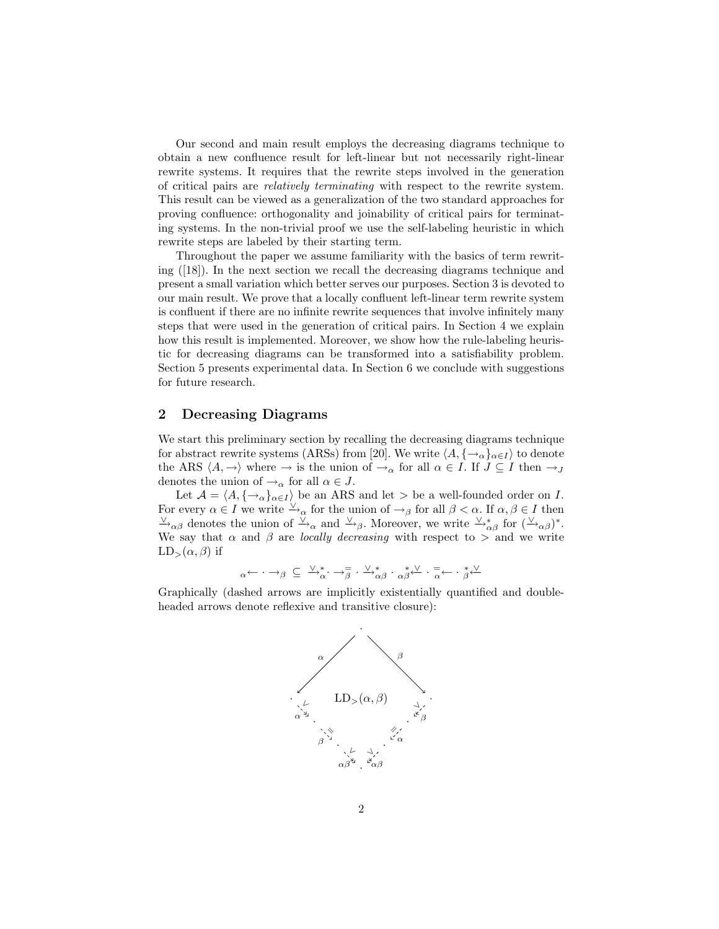Our second and main result employs the decreasing diagrams technique to obtain a new confluence result for left-linear but not necessarily right-linear rewrite systems. It requires that the rewrite steps involved in the generation of critical pairs are relatively terminating with respect to the rewrite system. This result can be viewed as a generalization of the two standard approaches for proving confluence: orthogonality and joinability of critical pairs for terminating systems. In the non-trivial proof we use the self-labeling heuristic in which rewrite steps are labeled by their starting term.

Throughout the paper we assume familiarity with the basics of term rewriting ([18]). In the next section we recall the decreasing diagrams technique and present a small variation which better serves our purposes. Section 3 is devoted to our main result. We prove that a locally confluent left-linear term rewrite system is confluent if there are no infinite rewrite sequences that involve infinitely many steps that were used in the generation of critical pairs. In Section 4 we explain how this result is implemented. Moreover, we show how the rule-labeling heuristic for decreasing diagrams can be transformed into a satisfiability problem. Section 5 presents experimental data. In Section 6 we conclude with suggestions for future research.

#### 2 Decreasing Diagrams

We start this preliminary section by recalling the decreasing diagrams technique for abstract rewrite systems (ARSs) from [20]. We write  $\langle A, \{\rightarrow_{\alpha}\}_{{\alpha}\in I}\rangle$  to denote the ARS  $\langle A, \rightarrow \rangle$  where  $\rightarrow$  is the union of  $\rightarrow_{\alpha}$  for all  $\alpha \in I$ . If  $J \subseteq I$  then  $\rightarrow_J$ denotes the union of  $\rightarrow_{\alpha}$  for all  $\alpha \in J$ .

Let  $\mathcal{A} = \langle A, \{\rightarrow_{\alpha}\}_{{\alpha \in I}} \rangle$  be an ARS and let > be a well-founded order on I. For every  $\alpha \in I$  we write  $\stackrel{\vee}{\rightarrow}_{\alpha}$  for the union of  $\rightarrow_{\beta}$  for all  $\beta < \alpha$ . If  $\alpha, \beta \in I$  then  $\frac{\vee}{\rightarrow}_{\alpha\beta}$  denotes the union of  $\frac{\vee}{\rightarrow}_{\alpha}$  and  $\frac{\vee}{\rightarrow}_{\beta}$ . Moreover, we write  $\frac{\vee}{\rightarrow}_{\alpha\beta}$  for  $(\frac{\vee}{\rightarrow}_{\alpha\beta})^*$ . We say that  $\alpha$  and  $\beta$  are *locally decreasing* with respect to  $>$  and we write  $LD_{>}(\alpha, \beta)$  if

$$
\alpha \leftarrow \cdot \rightarrow \beta \ \subseteq \ \searrow^*_{\alpha} \cdot \rightarrow^{\equiv}_{\beta} \cdot \searrow^*_{\alpha \beta} \cdot \alpha \xrightarrow{\ast} \searrow \cdot^{\equiv}_{\alpha} \leftarrow \cdot^{\ast}_{\beta} \swarrow
$$

Graphically (dashed arrows are implicitly existentially quantified and doubleheaded arrows denote reflexive and transitive closure):

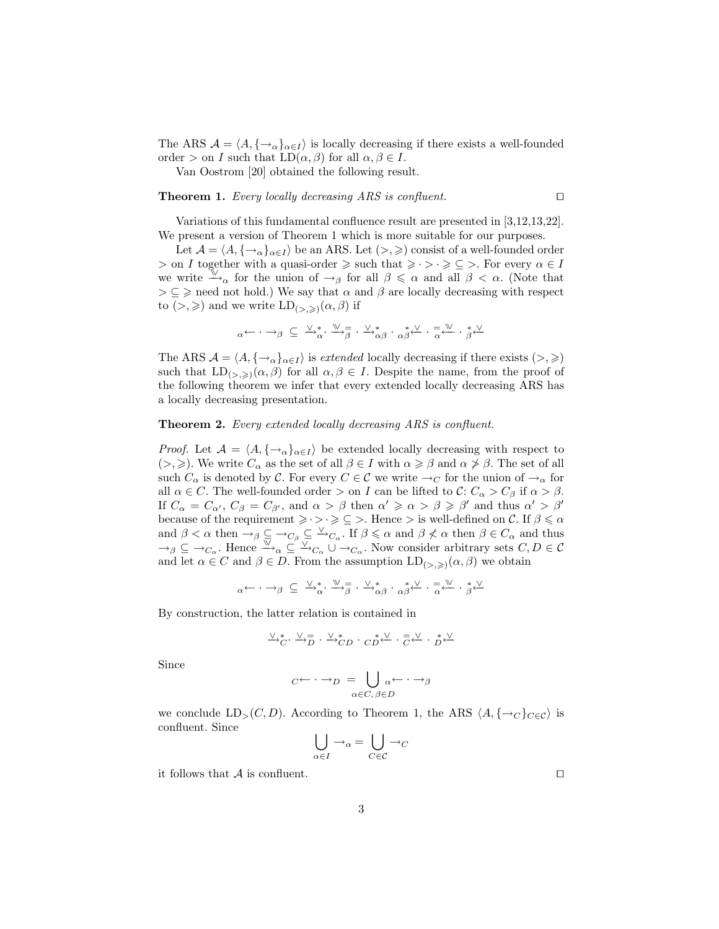The ARS  $A = \langle A, \{ \rightarrow_{\alpha} \}_{\alpha \in I} \rangle$  is locally decreasing if there exists a well-founded order > on I such that  $LD(\alpha, \beta)$  for all  $\alpha, \beta \in I$ .

Van Oostrom [20] obtained the following result.

#### **Theorem 1.** Every locally decreasing ARS is confluent.  $\Box$

Variations of this fundamental confluence result are presented in [3,12,13,22]. We present a version of Theorem 1 which is more suitable for our purposes.

Let  $\mathcal{A} = \langle A, \{\rightarrow_{\alpha}\}_{{\alpha \in I}} \rangle$  be an ARS. Let  $(>, \geqslant)$  consist of a well-founded order  $>$  on I together with a quasi-order  $\ge$  such that  $\ge \cdot > \cdot \ge \subseteq >$ . For every  $\alpha \in I$ we write  $\stackrel{\mathbb{V}}{\rightarrow}_{\alpha}$  for the union of  $\rightarrow_{\beta}$  for all  $\beta \leq \alpha$  and all  $\beta < \alpha$ . (Note that  $\geq \subseteq \geq$  need not hold.) We say that  $\alpha$  and  $\beta$  are locally decreasing with respect to  $(>, \geqslant)$  and we write  $LD_{(>, \geqslant)}(\alpha, \beta)$  if

$$
\alpha \leftarrow \cdot \rightarrow \beta \subseteq \xrightarrow{\vee}^*_{\alpha} \cdot \xrightarrow{\mathbb{W}} \overline{\beta} \cdot \xrightarrow{\vee}^*_{\alpha \beta} \cdot \alpha \xrightarrow{\ast} \xleftarrow{\vee} \cdot \overline{\alpha} \xleftarrow{\mathbb{W}} \cdot \xrightarrow{\ast} \xleftarrow{\vee}
$$

The ARS  $\mathcal{A} = \langle A, \{\rightarrow_{\alpha}\}_{{\alpha \in I}} \rangle$  is extended locally decreasing if there exists  $(>, \geqslant)$ such that  $LD_{(>,\geqslant)}(\alpha,\beta)$  for all  $\alpha,\beta \in I$ . Despite the name, from the proof of the following theorem we infer that every extended locally decreasing ARS has a locally decreasing presentation.

#### Theorem 2. Every extended locally decreasing ARS is confluent.

*Proof.* Let  $A = \langle A, \{\rightarrow_{\alpha}\}_{{\alpha \in I}} \rangle$  be extended locally decreasing with respect to  $(>, \geqslant)$ . We write  $C_{\alpha}$  as the set of all  $\beta \in I$  with  $\alpha \geqslant \beta$  and  $\alpha \not\geqslant \beta$ . The set of all such  $C_{\alpha}$  is denoted by C. For every  $C \in \mathcal{C}$  we write  $\rightarrow_C$  for the union of  $\rightarrow_{\alpha}$  for all  $\alpha \in C$ . The well-founded order  $>$  on I can be lifted to  $\mathcal{C}: C_{\alpha} > C_{\beta}$  if  $\alpha > \beta$ . If  $C_{\alpha} = C_{\alpha'}$ ,  $C_{\beta} = C_{\beta'}$ , and  $\alpha > \beta$  then  $\alpha' \geq \alpha > \beta \geq \beta'$  and thus  $\alpha' > \beta'$ because of the requirement  $\geq \cdot > \cdot \geq \subseteq >$ . Hence  $>$  is well-defined on  $\mathcal{C}$ . If  $\beta \leq \alpha$ and  $\beta < \alpha$  then  $\rightarrow_{\beta} \subseteq \rightarrow_{C_{\beta}} \subseteq \rightarrow_{C_{\alpha}}$ . If  $\beta \leq \alpha$  and  $\beta \not\leq \alpha$  then  $\beta \in C_{\alpha}$  and thus  $\rightarrow$ <sub>β</sub>  $\subseteq$   $\rightarrow$ <sub>Cα</sub>. Hence  $\rightarrow \rightarrow \infty$   $\subseteq$   $\rightarrow$ <sub>C<sub>α</sub></sub>  $\cup \rightarrow$ <sub>Cα</sub>. Now consider arbitrary sets  $C, D \in \mathcal{C}$ and let  $\alpha \in C$  and  $\beta \in D$ . From the assumption  $LD_{(>,\geq)}(\alpha,\beta)$  we obtain

$$
\alpha \leftarrow \cdot \rightarrow \beta \subseteq \vee^*_{\alpha} \cdot \vee^*_{\beta} \cdot \vee^*_{\beta} \cdot \alpha \beta \cdot \alpha * \vee^*_{\alpha} \cdot \alpha * \vee^*_{\alpha} \cdot * \vee^*_{\beta} \cdot \vee^*_{\beta}
$$

By construction, the latter relation is contained in

$$
\stackrel{\vee}{\to}_{C}^{\ast}\cdot\stackrel{\vee}{\to}\stackrel{\equiv}{D}\cdot\stackrel{\vee}{\to}_{CD}^{\ast}\cdot\stackrel{\ast}{C}\stackrel{\vee}{D}\cdot\stackrel{=}{C}\stackrel{\vee}{\leftarrow}\cdot\stackrel{\ast}{D}\stackrel{\vee}{\leftarrow}
$$

Since

$$
C \leftarrow \cdot \rightarrow_D \quad = \bigcup_{\alpha \in C, \, \beta \in D} \alpha \leftarrow \cdot \rightarrow \beta
$$

we conclude  $LD_>(C, D)$ . According to Theorem 1, the ARS  $\langle A, \{\rightarrow_C\}_{C \in \mathcal{C}}\rangle$  is confluent. Since

$$
\bigcup_{\alpha \in I} \rightarrow_{\alpha} = \bigcup_{C \in \mathcal{C}} \rightarrow_{C}
$$

it follows that  $A$  is confluent.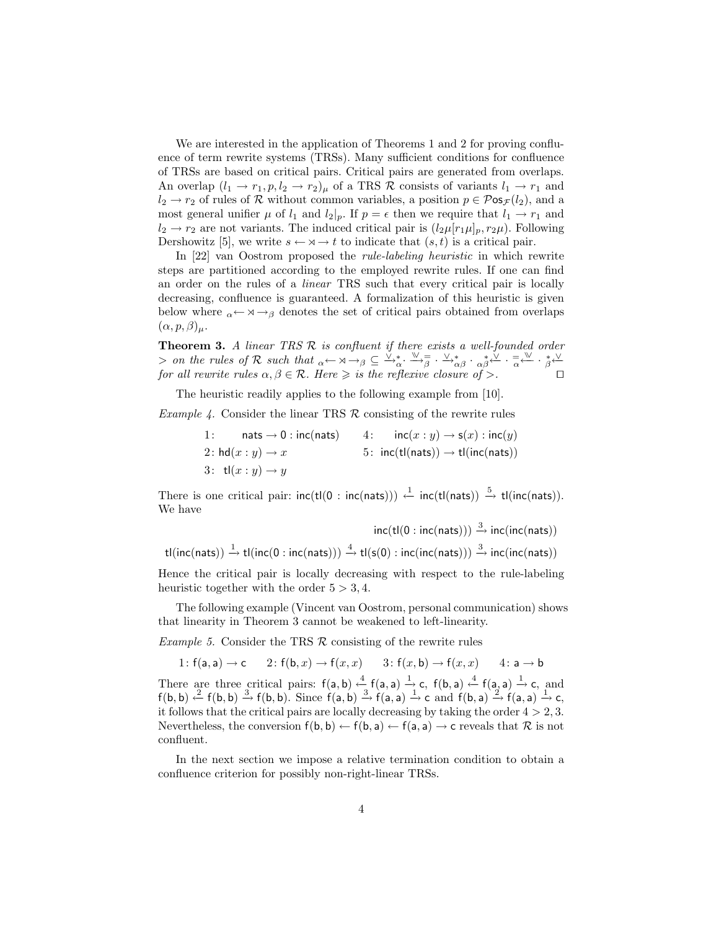We are interested in the application of Theorems 1 and 2 for proving confluence of term rewrite systems (TRSs). Many sufficient conditions for confluence of TRSs are based on critical pairs. Critical pairs are generated from overlaps. An overlap  $(l_1 \rightarrow r_1, p, l_2 \rightarrow r_2)$  of a TRS R consists of variants  $l_1 \rightarrow r_1$  and  $l_2 \to r_2$  of rules of R without common variables, a position  $p \in \mathcal{P}$ os $\mathcal{F}(l_2)$ , and a most general unifier  $\mu$  of  $l_1$  and  $l_2|_p$ . If  $p = \epsilon$  then we require that  $l_1 \rightarrow r_1$  and  $l_2 \rightarrow r_2$  are not variants. The induced critical pair is  $(l_2\mu[r_1\mu]_p, r_2\mu)$ . Following Dershowitz [5], we write  $s \leftarrow \forall x \rightarrow t$  to indicate that  $(s, t)$  is a critical pair.

In [22] van Oostrom proposed the rule-labeling heuristic in which rewrite steps are partitioned according to the employed rewrite rules. If one can find an order on the rules of a linear TRS such that every critical pair is locally decreasing, confluence is guaranteed. A formalization of this heuristic is given below where  $\alpha \leftarrow \alpha \rightarrow \beta$  denotes the set of critical pairs obtained from overlaps  $(\alpha, p, \beta)_{\mu}$ .

**Theorem 3.** A linear TRS  $\mathcal{R}$  is confluent if there exists a well-founded order  $>$  on the rules of R such that  $\alpha \leftarrow \alpha \rightarrow \beta \subseteq {\vee \atop \sim}^*_{\alpha} \cdot {\vee \atop \sim}^*_{\beta} \cdot {\vee \atop \sim}^*_{\alpha\beta} \cdot {\cdot \atop \sim}^*_{\alpha\beta} \cdot {\cdot \atop \sim}^*_{\alpha\beta} \cdot {\cdot \atop \sim}^*_{\alpha\beta} \cdot {\cdot \atop \sim}^*_{\alpha\beta} \cdot {\cdot \atop \sim}^*_{\alpha\beta}$ for all rewrite rules  $\alpha, \beta \in \mathcal{R}$ . Here  $\geqslant$  is the reflexive closure of  $\geqslant$ .

The heuristic readily applies to the following example from [10].

*Example 4.* Consider the linear TRS  $\mathcal{R}$  consisting of the rewrite rules

1: nats  $\rightarrow 0$  : inc(nats) 4:  $inc(x : y) \rightarrow s(x)$  :  $inc(y)$ 2:  $hd(x : y) \rightarrow x$  5:  $inc(t|(nats)) \rightarrow t|(inc(nats))$ 3:  $\mathsf{tl}(x:y) \rightarrow y$ 

There is one critical pair:  $inc(t|(0 : inc(nats))) \leftarrow inc(t|(nats)) \stackrel{5}{\rightarrow} tl(inc(nats)).$ We have

$$
\text{inc}\text{(tl}(0: \text{inc}(\text{nats}))) \xrightarrow{3} \text{inc}(\text{inc}(\text{nats}))
$$
  

$$
\text{tl}(\text{inc}(\text{nats})) \xrightarrow{1} \text{tl}(\text{inc}(0: \text{inc}(\text{nats}))) \xrightarrow{4} \text{tl}(s(0): \text{inc}(\text{inc}(\text{nats}))) \xrightarrow{3} \text{inc}(\text{inc}(\text{nats}))
$$

Hence the critical pair is locally decreasing with respect to the rule-labeling heuristic together with the order  $5 > 3, 4$ .

The following example (Vincent van Oostrom, personal communication) shows that linearity in Theorem 3 cannot be weakened to left-linearity.

*Example 5.* Consider the TRS  $\mathcal R$  consisting of the rewrite rules

1: 
$$
f(a, a) \rightarrow c
$$
 2:  $f(b, x) \rightarrow f(x, x)$  3:  $f(x, b) \rightarrow f(x, x)$  4:  $a \rightarrow b$ 

There are three critical pairs:  $f(a, b) \stackrel{4}{\leftarrow} f(a, a) \stackrel{1}{\rightarrow} c$ ,  $f(b, a) \stackrel{4}{\leftarrow} f(a, a) \stackrel{1}{\rightarrow} c$ , and  $f(b, b) \xrightarrow{2} f(b, b) \xrightarrow{3} f(b, b)$ . Since  $f(a, b) \xrightarrow{3} f(a, a) \xrightarrow{1} c$  and  $f(b, a) \xrightarrow{2} f(a, a) \xrightarrow{1} c$ , it follows that the critical pairs are locally decreasing by taking the order  $4 > 2, 3$ . Nevertheless, the conversion  $f(b, b) \leftarrow f(b, a) \leftarrow f(a, a) \rightarrow c$  reveals that  $\mathcal R$  is not confluent.

In the next section we impose a relative termination condition to obtain a confluence criterion for possibly non-right-linear TRSs.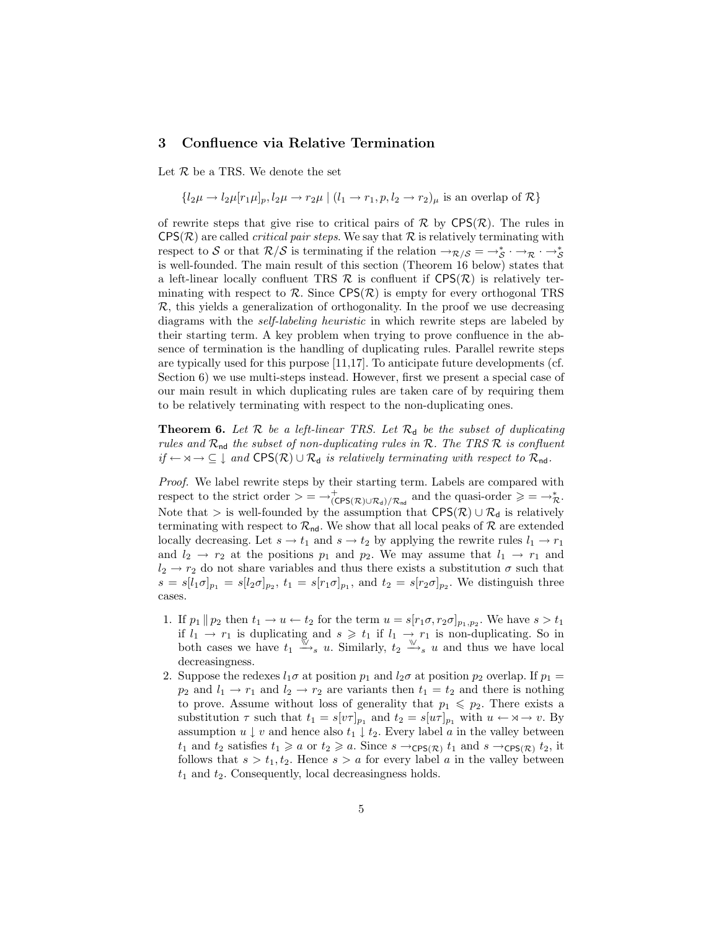#### 3 Confluence via Relative Termination

Let  $R$  be a TRS. We denote the set

 ${l_2\mu \rightarrow l_2\mu[r_1\mu]_p, l_2\mu \rightarrow r_2\mu \mid (l_1 \rightarrow r_1, p, l_2 \rightarrow r_2)_\mu$  is an overlap of  $\mathcal{R}$ }

of rewrite steps that give rise to critical pairs of  $\mathcal R$  by  $CPS(\mathcal R)$ . The rules in  $CPS(\mathcal{R})$  are called *critical pair steps*. We say that  $\mathcal R$  is relatively terminating with respect to S or that  $\mathcal{R}/\mathcal{S}$  is terminating if the relation  $\rightarrow_{\mathcal{R}} S = \rightarrow_{\mathcal{S}}^* \cdot \rightarrow_{\mathcal{R}} \cdot \rightarrow_{\mathcal{S}}^*$ is well-founded. The main result of this section (Theorem 16 below) states that a left-linear locally confluent TRS  $\mathcal R$  is confluent if  $CPS(\mathcal R)$  is relatively terminating with respect to  $\mathcal{R}$ . Since  $CPS(\mathcal{R})$  is empty for every orthogonal TRS  $\mathcal{R}$ , this yields a generalization of orthogonality. In the proof we use decreasing diagrams with the self-labeling heuristic in which rewrite steps are labeled by their starting term. A key problem when trying to prove confluence in the absence of termination is the handling of duplicating rules. Parallel rewrite steps are typically used for this purpose [11,17]. To anticipate future developments (cf. Section 6) we use multi-steps instead. However, first we present a special case of our main result in which duplicating rules are taken care of by requiring them to be relatively terminating with respect to the non-duplicating ones.

**Theorem 6.** Let  $\mathcal{R}$  be a left-linear TRS. Let  $\mathcal{R}_{d}$  be the subset of duplicating rules and  $\mathcal{R}_{nd}$  the subset of non-duplicating rules in  $\mathcal{R}$ . The TRS  $\mathcal{R}$  is confluent  $if \leftarrow \mathsf{x} \rightarrow \subseteq \downarrow$  and  $CPS(\mathcal{R}) \cup \mathcal{R}_{d}$  is relatively terminating with respect to  $\mathcal{R}_{nd}$ .

Proof. We label rewrite steps by their starting term. Labels are compared with respect to the strict order  $\geq$  =  $\rightarrow^+_{(CPS(\mathcal{R})\cup\mathcal{R}_d)/\mathcal{R}_{nd}}$  and the quasi-order  $\geq$  =  $\rightarrow^*_{\mathcal{R}}$ . Note that > is well-founded by the assumption that  $CPS(\mathcal{R}) \cup \mathcal{R}_{d}$  is relatively terminating with respect to  $\mathcal{R}_{nd}$ . We show that all local peaks of  $\mathcal R$  are extended locally decreasing. Let  $s \to t_1$  and  $s \to t_2$  by applying the rewrite rules  $l_1 \to r_1$ and  $l_2 \rightarrow r_2$  at the positions  $p_1$  and  $p_2$ . We may assume that  $l_1 \rightarrow r_1$  and  $l_2 \rightarrow r_2$  do not share variables and thus there exists a substitution  $\sigma$  such that  $s = s[l_1 \sigma]_{p_1} = s[l_2 \sigma]_{p_2}, t_1 = s[r_1 \sigma]_{p_1}$ , and  $t_2 = s[r_2 \sigma]_{p_2}$ . We distinguish three cases.

- 1. If  $p_1 \parallel p_2$  then  $t_1 \rightarrow u \leftarrow t_2$  for the term  $u = s[r_1 \sigma, r_2 \sigma]_{p_1, p_2}$ . We have  $s > t_1$ if  $l_1 \rightarrow r_1$  is duplicating and  $s \geq t_1$  if  $l_1 \rightarrow r_1$  is non-duplicating. So in both cases we have  $t_1 \xrightarrow{\mathbb{W}} s u$ . Similarly,  $t_2 \xrightarrow{\mathbb{W}} s u$  and thus we have local decreasingness.
- 2. Suppose the redexes  $l_1\sigma$  at position  $p_1$  and  $l_2\sigma$  at position  $p_2$  overlap. If  $p_1 =$  $p_2$  and  $l_1 \rightarrow r_1$  and  $l_2 \rightarrow r_2$  are variants then  $t_1 = t_2$  and there is nothing to prove. Assume without loss of generality that  $p_1 \leqslant p_2$ . There exists a substitution  $\tau$  such that  $t_1 = s[v\tau]_{p_1}$  and  $t_2 = s[u\tau]_{p_1}$  with  $u \leftarrow \forall \negthinspace \rightarrow v$ . By assumption  $u \downarrow v$  and hence also  $t_1 \downarrow t_2$ . Every label a in the valley between  $t_1$  and  $t_2$  satisfies  $t_1 \geq a$  or  $t_2 \geq a$ . Since  $s \to_{\mathsf{CPS}(\mathcal{R})} t_1$  and  $s \to_{\mathsf{CPS}(\mathcal{R})} t_2$ , it follows that  $s > t_1, t_2$ . Hence  $s > a$  for every label a in the valley between  $t_1$  and  $t_2$ . Consequently, local decreasingness holds.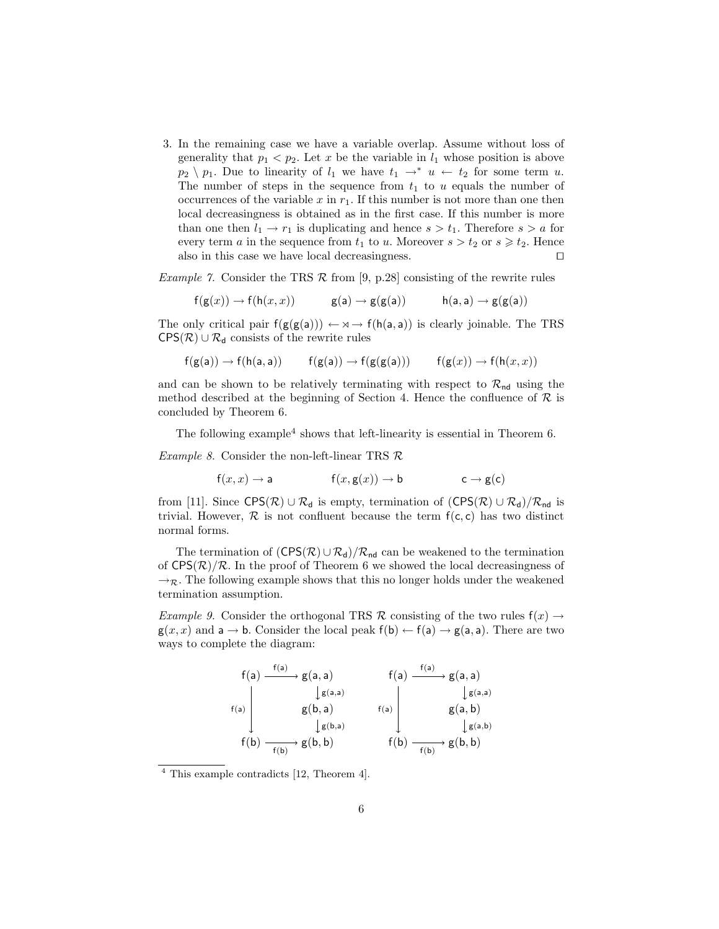3. In the remaining case we have a variable overlap. Assume without loss of generality that  $p_1 < p_2$ . Let x be the variable in  $l_1$  whose position is above  $p_2 \ \ p_1$ . Due to linearity of  $l_1$  we have  $t_1 \rightarrow^* u \leftarrow t_2$  for some term u. The number of steps in the sequence from  $t_1$  to u equals the number of occurrences of the variable x in  $r_1$ . If this number is not more than one then local decreasingness is obtained as in the first case. If this number is more than one then  $l_1 \rightarrow r_1$  is duplicating and hence  $s > t_1$ . Therefore  $s > a$  for every term a in the sequence from  $t_1$  to u. Moreover  $s > t_2$  or  $s \geq t_2$ . Hence also in this case we have local decreasingness.  $\Box$ 

*Example 7.* Consider the TRS  $\mathcal R$  from [9, p.28] consisting of the rewrite rules

$$
f(g(x)) \to f(h(x, x))
$$
  $g(a) \to g(g(a))$   $h(a, a) \to g(g(a))$ 

The only critical pair  $f(g(g(a))) \leftarrow \forall \rightarrow f(h(a, a))$  is clearly joinable. The TRS  $CPS(\mathcal{R}) \cup \mathcal{R}_d$  consists of the rewrite rules

$$
f(g(a)) \to f(h(a, a)) \qquad f(g(a)) \to f(g(g(a))) \qquad f(g(x)) \to f(h(x, x))
$$

and can be shown to be relatively terminating with respect to  $\mathcal{R}_{nd}$  using the method described at the beginning of Section 4. Hence the confluence of  $\mathcal R$  is concluded by Theorem 6.

The following example<sup>4</sup> shows that left-linearity is essential in Theorem 6.

*Example 8.* Consider the non-left-linear TRS  $\mathcal{R}$ 

$$
f(x, x) \to a
$$
  $f(x, g(x)) \to b$   $c \to g(c)$ 

from [11]. Since CPS( $\mathcal{R}$ ) ∪  $\mathcal{R}_d$  is empty, termination of  $(CPS(\mathcal{R}) \cup \mathcal{R}_d)/\mathcal{R}_{nd}$  is trivial. However,  $\mathcal R$  is not confluent because the term  $f(c, c)$  has two distinct normal forms.

The termination of  $(CPS(\mathcal{R}) \cup \mathcal{R}_{d})/\mathcal{R}_{nd}$  can be weakened to the termination of  $CPS(\mathcal{R})/\mathcal{R}$ . In the proof of Theorem 6 we showed the local decreasingness of  $\rightarrow_{\mathcal{R}}$ . The following example shows that this no longer holds under the weakened termination assumption.

Example 9. Consider the orthogonal TRS R consisting of the two rules  $f(x) \rightarrow$  $g(x, x)$  and  $a \rightarrow b$ . Consider the local peak  $f(b) \leftarrow f(a) \rightarrow g(a, a)$ . There are two ways to complete the diagram:

$$
\begin{array}{c|c|c} f(a) & \xrightarrow{f(a)} g(a, a) & f(a) & \xrightarrow{f(a)} g(a, a) \\ & & \downarrow g(a, a) & & \downarrow g(a, a) \\ f(a) & & g(b, a) & & f(a) & & g(a, b) \\ & & \downarrow g(b, a) & & \downarrow g(a, b) \\ f(b) & \xrightarrow{f(b)} g(b, b) & & f(b) & \xrightarrow{f(b)} g(b, b) \end{array}
$$

<sup>4</sup> This example contradicts [12, Theorem 4].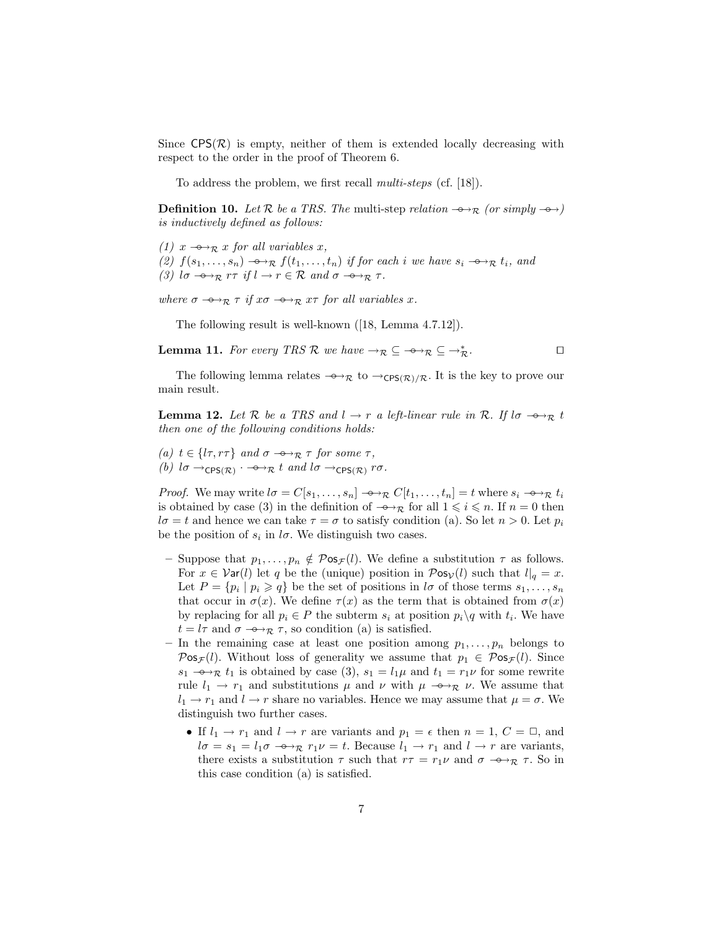Since  $CPS(\mathcal{R})$  is empty, neither of them is extended locally decreasing with respect to the order in the proof of Theorem 6.

To address the problem, we first recall multi-steps (cf. [18]).

**Definition 10.** Let R be a TRS. The multi-step relation  $\rightarrow_{\mathcal{R}}$  (or simply  $\rightarrow$  ) is inductively defined as follows:

(1)  $x \rightarrow_{\mathcal{R}} x$  for all variables x, (2)  $f(s_1, \ldots, s_n) \rightarrow_R f(t_1, \ldots, t_n)$  if for each i we have  $s_i \rightarrow_R t_i$ , and (3)  $l\sigma \rightarrow_R r\tau$  if  $l \rightarrow r \in \mathcal{R}$  and  $\sigma \rightarrow_R \tau$ .

where  $\sigma \rightarrow_R \tau$  if  $x\sigma \rightarrow_R x\tau$  for all variables x.

The following result is well-known ([18, Lemma 4.7.12]).

**Lemma 11.** For every TRS R we have  $\rightarrow_{\mathcal{R}} \subseteq \rightarrow_{\mathcal{R}} \subseteq \rightarrow_{\mathcal{R}}^*$ .  $\stackrel{*}{\mathcal{R}}$ .

The following lemma relates  $\rightarrow_{\mathcal{R}}$  to  $\rightarrow_{\mathsf{CPS}(\mathcal{R})/\mathcal{R}}$ . It is the key to prove our main result.

**Lemma 12.** Let R be a TRS and  $l \rightarrow r$  a left-linear rule in R. If  $l\sigma \rightarrow \gamma_R t$ then one of the following conditions holds:

(a)  $t \in \{l\tau, r\tau\}$  and  $\sigma \rightarrow_{\mathcal{R}} \tau$  for some  $\tau$ , (b)  $l\sigma \rightarrow_{\text{CPS}(\mathcal{R})} \cdot \rightarrow_{\mathcal{R}} t$  and  $l\sigma \rightarrow_{\text{CPS}(\mathcal{R})} r\sigma$ .

*Proof.* We may write  $l\sigma = C[s_1, \ldots, s_n] \rightarrow \mathcal{R} C[t_1, \ldots, t_n] = t$  where  $s_i \rightarrow \mathcal{R} t_i$ is obtained by case (3) in the definition of  $\rightarrow_{\mathcal{R}}$  for all  $1 \leq i \leq n$ . If  $n = 0$  then  $l\sigma = t$  and hence we can take  $\tau = \sigma$  to satisfy condition (a). So let  $n > 0$ . Let  $p_i$ be the position of  $s_i$  in  $l\sigma$ . We distinguish two cases.

- Suppose that  $p_1, \ldots, p_n \notin \mathcal{P}$  os $\mathcal{F}(l)$ . We define a substitution  $\tau$  as follows. For  $x \in \mathcal{V}$ ar(l) let q be the (unique) position in  $\mathcal{P}$ os<sub> $\mathcal{V}(l)$ </sub> such that  $l|_q = x$ . Let  $P = \{p_i \mid p_i \geq q\}$  be the set of positions in  $l\sigma$  of those terms  $s_1, \ldots, s_n$ that occur in  $\sigma(x)$ . We define  $\tau(x)$  as the term that is obtained from  $\sigma(x)$ by replacing for all  $p_i \in P$  the subterm  $s_i$  at position  $p_i \setminus q$  with  $t_i$ . We have  $t = l\tau$  and  $\sigma \rightarrow_{\mathcal{R}} \tau$ , so condition (a) is satisfied.
- In the remaining case at least one position among  $p_1, \ldots, p_n$  belongs to  $\mathcal{P}$ os $_{\mathcal{F}}(l)$ . Without loss of generality we assume that  $p_1 \in \mathcal{P}$ os $_{\mathcal{F}}(l)$ . Since  $s_1 \rightarrow \rightarrow \mathcal{R}$  t<sub>1</sub> is obtained by case (3),  $s_1 = l_1\mu$  and  $t_1 = r_1\nu$  for some rewrite rule  $l_1 \rightarrow r_1$  and substitutions  $\mu$  and  $\nu$  with  $\mu \rightarrow \rightarrow \infty$  v. We assume that  $l_1 \rightarrow r_1$  and  $l \rightarrow r$  share no variables. Hence we may assume that  $\mu = \sigma$ . We distinguish two further cases.
	- If  $l_1 \rightarrow r_1$  and  $l \rightarrow r$  are variants and  $p_1 = \epsilon$  then  $n = 1, C = \square$ , and  $l\sigma = s_1 = l_1\sigma \longrightarrow_{\mathcal{R}} r_1\nu = t$ . Because  $l_1 \rightarrow r_1$  and  $l \rightarrow r$  are variants, there exists a substitution  $\tau$  such that  $r\tau = r_1 \nu$  and  $\sigma \rightarrow \tau$ ,  $\tau$ . So in this case condition (a) is satisfied.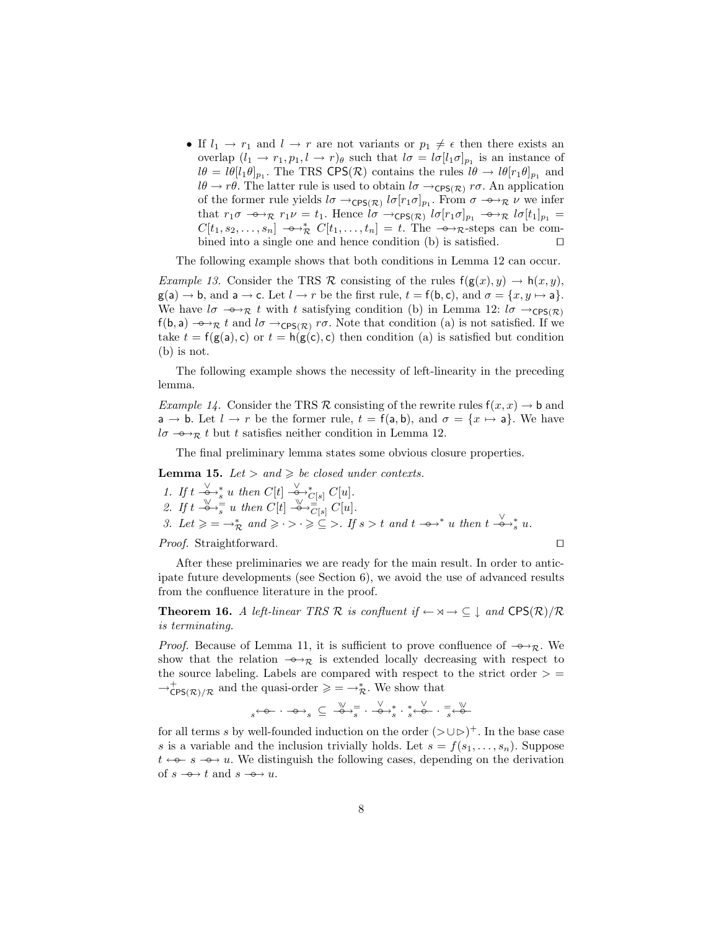• If  $l_1 \rightarrow r_1$  and  $l \rightarrow r$  are not variants or  $p_1 \neq \epsilon$  then there exists an overlap  $(l_1 \rightarrow r_1, p_1, l \rightarrow r)_{\theta}$  such that  $l\sigma = l\sigma [l_1 \sigma]_{p_1}$  is an instance of  $l\theta = l\theta [l_1 \theta]_{p_1}$ . The TRS CPS(R) contains the rules  $l\theta \to l\theta [r_1 \theta]_{p_1}$  and  $l\theta \to r\theta$ . The latter rule is used to obtain  $l\sigma \to_{\mathsf{CPS}(\mathcal{R})} r\sigma$ . An application of the former rule yields  $l\sigma \rightarrow_{\mathsf{CPS}(\mathcal{R})} l\sigma[r_1\sigma]_{p_1}$ . From  $\sigma \rightarrow_{\mathcal{R}} \nu$  we infer that  $r_1\sigma \rightarrow_R r_1\nu = t_1$ . Hence  $l\sigma \rightarrow_{\text{CPS}(\mathcal{R})} l\sigma[r_1\sigma]_{p_1} \rightarrow_{\text{CPS}l} l\sigma[t_1]_{p_1} =$  $C[t_1, s_2, \ldots, s_n] \rightarrow \mathcal{R}$   $C[t_1, \ldots, t_n] = t$ . The  $\rightarrow \mathcal{R}$ -steps can be combined into a single one and hence condition (b) is satisfied.  $\Box$ 

The following example shows that both conditions in Lemma 12 can occur.

*Example 13.* Consider the TRS R consisting of the rules  $f(g(x), y) \to h(x, y)$ ,  $g(a) \rightarrow b$ , and  $a \rightarrow c$ . Let  $l \rightarrow r$  be the first rule,  $t = f(b, c)$ , and  $\sigma = \{x, y \mapsto a\}$ . We have  $l\sigma \rightarrow_{\mathcal{R}} t$  with t satisfying condition (b) in Lemma 12:  $l\sigma \rightarrow_{\mathsf{CPS}(\mathcal{R})}$ f(b, a)  $\rightarrow_{\mathcal{R}} t$  and  $l\sigma \rightarrow_{\mathsf{CPS}(\mathcal{R})} r\sigma$ . Note that condition (a) is not satisfied. If we take  $t = f(g(a), c)$  or  $t = h(g(c), c)$  then condition (a) is satisfied but condition (b) is not.

The following example shows the necessity of left-linearity in the preceding lemma.

Example 14. Consider the TRS R consisting of the rewrite rules  $f(x, x) \to b$  and  $a \rightarrow b$ . Let  $l \rightarrow r$  be the former rule,  $t = f(a, b)$ , and  $\sigma = \{x \mapsto a\}$ . We have  $l\sigma \rightarrow_{\mathcal{R}} t$  but t satisfies neither condition in Lemma 12.

The final preliminary lemma states some obvious closure properties.

**Lemma 15.** Let  $>$  and  $\geq$  be closed under contexts.

\n- 1. If 
$$
t \xrightarrow{\vee}^*
$$
 with  $C[t] \xrightarrow{\vee}^* C[s] C[u]$ .
\n- 2. If  $t \xrightarrow{\infty}^* \Rightarrow s$  with  $C[t] \xrightarrow{\vee}^* \overline{C[s]} C[u]$ .
\n- 3. Let  $\geq \in \rightarrow_{\mathcal{R}}^*$  and  $\geq \cdot \gt \cdot \geq \subseteq \gt$ . If  $s > t$  and  $t \xrightarrow{\infty}^*$  with  $t \xrightarrow{\vee}^*$  with  $t \xrightarrow{\vee}^*$  with  $t \xrightarrow{\vee}^*$  with  $t \xrightarrow{\vee}^*$  with  $t \xrightarrow{\vee}^*$ .
\n
\n*Proof.* Straightforward.

After these preliminaries we are ready for the main result. In order to anticipate future developments (see Section 6), we avoid the use of advanced results from the confluence literature in the proof.

**Theorem 16.** A left-linear TRS R is confluent if  $\leftarrow \forall \neg \neg \subseteq \bot$  and  $CPS(\mathcal{R})/\mathcal{R}$ is terminating.

*Proof.* Because of Lemma 11, it is sufficient to prove confluence of  $-\rightarrow_{\mathcal{R}}$ . We show that the relation  $-\rightarrow_{\mathcal{R}}$  is extended locally decreasing with respect to the source labeling. Labels are compared with respect to the strict order  $>$  =  $\rightarrow_{\text{CPS}(\mathcal{R})/\mathcal{R}}^+$  and the quasi-order  $\geqslant = \rightarrow_{\mathcal{R}}^*$ . We show that

 $s\stackrel{\longleftrightarrow}{\longleftrightarrow}s}\subseteq\stackrel{\mathbb{V}}{\twoheadrightarrow}s\stackrel{\mathbb{V}}{\twoheadrightarrow}s\stackrel{\ast}{\twoheadrightarrow}s\stackrel{\mathbb{V}}{\twoheadrightarrow}s\stackrel{\mathbb{V}}{\twoheadrightarrow}s\stackrel{\mathbb{V}}{\twoheadrightarrow}s$ 

for all terms s by well-founded induction on the order  $(>\cup \rhd)^+$ . In the base case s is a variable and the inclusion trivially holds. Let  $s = f(s_1, \ldots, s_n)$ . Suppose  $t \leftarrow -\epsilon - \epsilon \rightarrow u$ . We distinguish the following cases, depending on the derivation of  $s \rightarrow t$  and  $s \rightarrow u$ .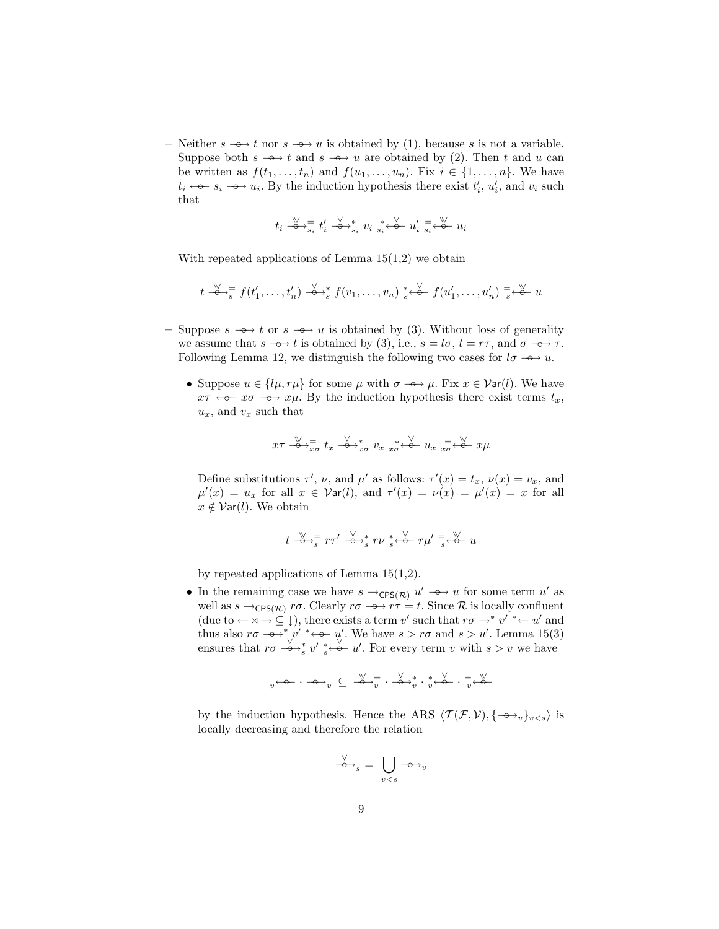– Neither  $s \rightarrow t$  nor  $s \rightarrow u$  is obtained by (1), because s is not a variable. Suppose both  $s \rightarrow t$  and  $s \rightarrow u$  are obtained by (2). Then t and u can be written as  $f(t_1, \ldots, t_n)$  and  $f(u_1, \ldots, u_n)$ . Fix  $i \in \{1, \ldots, n\}$ . We have  $t_i \leftarrow\rightarrow s_i \rightarrow u_i$ . By the induction hypothesis there exist  $t'_i$ ,  $u'_i$ , and  $v_i$  such that

$$
t_i \overset{\mathbb{V}}{\rightarrow} \overline{s}_i \overset{\mathbb{V}}{t'_i} \overset{\mathbb{V}}{\rightarrow} s_i \overset{\ast}{v}_i \overset{\ast}{s_i} \overset{\mathbb{V}}{\leftarrow} u'_i \overset{\mathbb{I}}{s_i} \overset{\mathbb{V}}{\leftarrow} u_i
$$

With repeated applications of Lemma  $15(1,2)$  we obtain

$$
t \xrightarrow{\vee} \overline{s}
$$
  $f(t'_1, \ldots, t'_n) \xrightarrow{\vee} \overline{s}$   $f(v_1, \ldots, v_n) \xrightarrow{s} \overline{\cdots}$   $f(u'_1, \ldots, u'_n) \xrightarrow{s} \overline{\cdots}$  u

- Suppose  $s \rightarrow t$  or  $s \rightarrow u$  is obtained by (3). Without loss of generality we assume that  $s \to t$  is obtained by (3), i.e.,  $s = l\sigma$ ,  $t = r\tau$ , and  $\sigma \to \tau$ . Following Lemma 12, we distinguish the following two cases for  $l\sigma \rightarrow u$ .
	- Suppose  $u \in \{l\mu, r\mu\}$  for some  $\mu$  with  $\sigma \rightarrow \mu$ . Fix  $x \in \mathcal{V}$ ar(l). We have  $x\tau \leftrightarrow -x\sigma \rightarrow x\mu$ . By the induction hypothesis there exist terms  $t_x$ ,  $u_x$ , and  $v_x$  such that

$$
x\tau \stackrel{\vee}{\longrightarrow} \frac{1}{x\sigma} t_x \stackrel{\vee}{\longrightarrow} \frac{1}{x\sigma} v_x \stackrel{*}{x\sigma} \stackrel{\vee}{\leftarrow} u_x \stackrel{=}{x\sigma} \stackrel{\vee}{\leftarrow} x\mu
$$

Define substitutions  $\tau'$ ,  $\nu$ , and  $\mu'$  as follows:  $\tau'(x) = t_x$ ,  $\nu(x) = v_x$ , and  $\mu'(x) = u_x$  for all  $x \in \mathcal{V}$ ar $(l)$ , and  $\tau'(x) = \nu(x) = \mu'(x) = x$  for all  $x \notin \mathcal{V}$ ar(l). We obtain

$$
t \stackrel{\mathbb{V}}{\rightarrow} \frac{1}{s} r\tau' \stackrel{\mathbb{V}}{\rightarrow} \frac{s}{s} r\nu \stackrel{*}{s} \stackrel{\mathbb{V}}{\leftarrow} r\mu' \stackrel{=}{s} \stackrel{\mathbb{V}}{\leftarrow} u
$$

by repeated applications of Lemma  $15(1,2)$ .

• In the remaining case we have  $s \rightarrow_{\mathsf{CPS}(\mathcal{R})} u' \rightarrow u$  for some term u' as well as  $s \to_{\text{CPS}(\mathcal{R})} r\sigma$ . Clearly  $r\sigma \to \gamma \tau = t$ . Since R is locally confluent (due to  $\leftarrow \forall \rightarrow \subseteq \bot$ ), there exists a term v' such that  $r\sigma \rightarrow^* v' \leftarrow u'$  and thus also  $r\sigma \rightarrow^* v' \rightarrow \infty$  w'. We have  $s > r\sigma$  and  $s > u'$ . Lemma 15(3) ensures that  $r\sigma \stackrel{\vee}{\longrightarrow}^*_{s} v' \stackrel{\vee}{\longrightarrow} u'$ . For every term v with  $s > v$  we have

$$
v^{\leftarrow\! \varphi\! \cdots \varphi\! \rightarrow}_v \,\subseteq\, \overset{\mathbb{V}}{\twoheadrightarrow} \overset{=}{v}\cdot \overset{\vee}{\twoheadrightarrow} \overset{*}{v}\cdot \overset{*}{v}^{\leftarrow\! \varphi\! \cdots \vec{v}}\cdot \overset{=}{v}\overset{\mathbb{V}}{\leftarrow\! \varphi\! \cdots \!}
$$

by the induction hypothesis. Hence the ARS  $\langle \mathcal{T}(\mathcal{F}, \mathcal{V}), \{-\rightarrow_v\}_{v \leq s} \rangle$  is locally decreasing and therefore the relation

$$
\xrightarrow{\vee}_{s} = \bigcup_{v < s} \neg \rightarrow_{v}
$$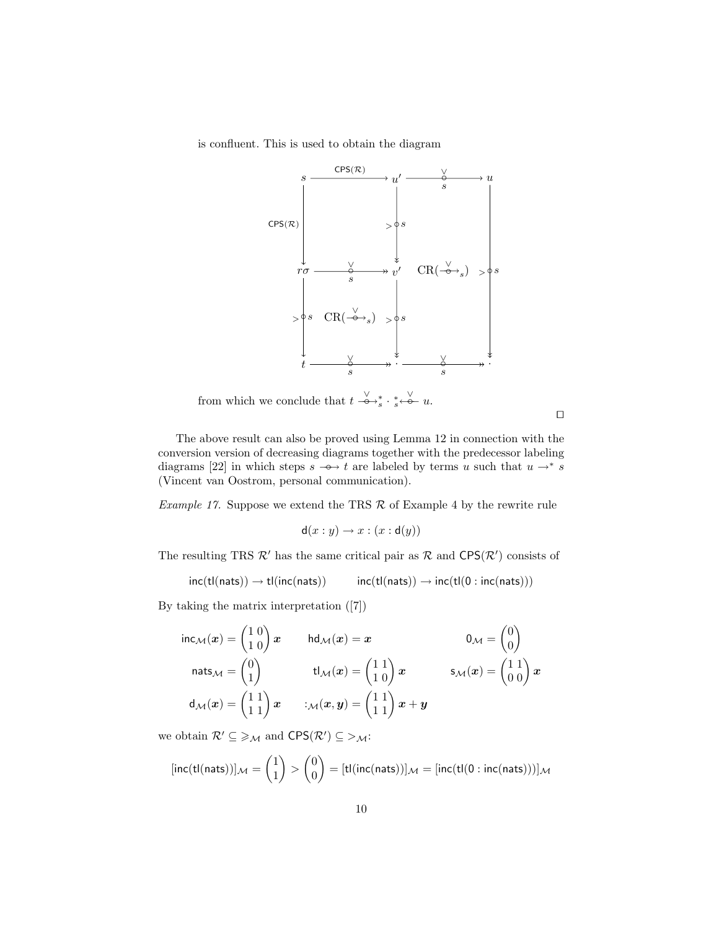is confluent. This is used to obtain the diagram



from which we conclude that  $t \stackrel{\vee}{\longrightarrow}^*_{s} \cdot^*_{s} \stackrel{\vee}{\longleftarrow} u$ .

 $\Box$ 

The above result can also be proved using Lemma 12 in connection with the conversion version of decreasing diagrams together with the predecessor labeling diagrams [22] in which steps  $s \rightarrow t$  are labeled by terms u such that  $u \rightarrow * s$ (Vincent van Oostrom, personal communication).

*Example 17.* Suppose we extend the TRS  $\mathcal{R}$  of Example 4 by the rewrite rule

$$
\mathsf{d}(x:y) \to x:(x:\mathsf{d}(y))
$$

The resulting TRS  $\mathcal{R}'$  has the same critical pair as  $\mathcal{R}$  and  $CPS(\mathcal{R}')$  consists of

 $inc(tl(nats)) \rightarrow tl(inc(nats))$   $inc(tl(nats)) \rightarrow inc(tl(0 : inc(nats)))$ 

By taking the matrix interpretation ([7])

$$
\text{inc}_{\mathcal{M}}(x) = \begin{pmatrix} 1 & 0 \\ 1 & 0 \end{pmatrix} x \quad \text{hd}_{\mathcal{M}}(x) = x \quad 0_{\mathcal{M}} = \begin{pmatrix} 0 \\ 0 \end{pmatrix}
$$
\n
$$
\text{nats}_{\mathcal{M}} = \begin{pmatrix} 0 \\ 1 \end{pmatrix} \quad \text{tl}_{\mathcal{M}}(x) = \begin{pmatrix} 1 & 1 \\ 1 & 0 \end{pmatrix} x \quad \text{s}_{\mathcal{M}}(x) = \begin{pmatrix} 1 & 1 \\ 0 & 0 \end{pmatrix} x
$$
\n
$$
\text{d}_{\mathcal{M}}(x) = \begin{pmatrix} 1 & 1 \\ 1 & 1 \end{pmatrix} x \quad :_{\mathcal{M}}(x, y) = \begin{pmatrix} 1 & 1 \\ 1 & 1 \end{pmatrix} x + y
$$

we obtain  $\mathcal{R}' \subseteq \geq \mathcal{M}$  and  $CPS(\mathcal{R}') \subseteq >\mathcal{M}$ :

 $[\textsf{inc}(\textsf{tl}(\textsf{nats}))]_\mathcal{M} = \begin{pmatrix} 1 \\ 1 \end{pmatrix}$ 1  $\Big) > \Big( \begin{matrix} 0 \\ 0 \end{matrix} \Big)$ 0  $\bigg)=[\mathsf{tl}(\mathsf{inc}(\mathsf{nats}))]_\mathcal{M}=[\mathsf{inc}(\mathsf{tl}(0:\mathsf{inc}(\mathsf{nats})))]_\mathcal{M}$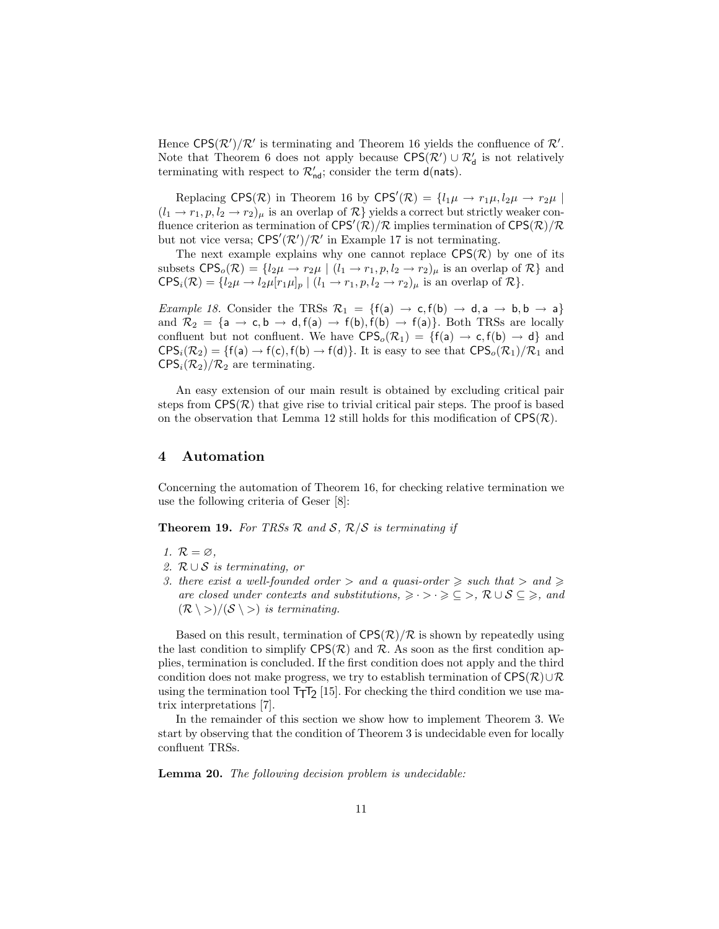Hence  $CPS(\mathcal{R}')/\mathcal{R}'$  is terminating and Theorem 16 yields the confluence of  $\mathcal{R}'$ . Note that Theorem 6 does not apply because  $CPS(\mathcal{R}') \cup \mathcal{R}'_d$  is not relatively terminating with respect to  $\mathcal{R}'_{\mathsf{nd}}$ ; consider the term **d**(nats).

Replacing CPS( $\mathcal{R}$ ) in Theorem 16 by CPS' $(\mathcal{R}) = \{l_1\mu \to r_1\mu, l_2\mu \to r_2\mu \mid$  $(l_1 \rightarrow r_1, p, l_2 \rightarrow r_2)_{\mu}$  is an overlap of  $\mathcal{R}$  yields a correct but strictly weaker confluence criterion as termination of  $CPS'(\mathcal{R})/\mathcal{R}$  implies termination of  $CPS(\mathcal{R})/\mathcal{R}$ but not vice versa;  $CPS'(\mathcal{R}')/\mathcal{R}'$  in Example 17 is not terminating.

The next example explains why one cannot replace  $CPS(\mathcal{R})$  by one of its subsets  $CPS_o(\mathcal{R}) = \{l_2\mu \to r_2\mu \mid (l_1 \to r_1, p, l_2 \to r_2)\mu \text{ is an overlap of } \mathcal{R}\}\$ and  $CPS_i(\mathcal{R}) = \{l_2\mu \rightarrow l_2\mu[r_1\mu]_p \mid (l_1 \rightarrow r_1, p, l_2 \rightarrow r_2)_\mu \text{ is an overlap of } \mathcal{R}\}.$ 

Example 18. Consider the TRSs  $\mathcal{R}_1 = \{f(a) \rightarrow c, f(b) \rightarrow d, a \rightarrow b, b \rightarrow a\}$ and  $\mathcal{R}_2 = \{a \rightarrow c, b \rightarrow d, f(a) \rightarrow f(b), f(b) \rightarrow f(a)\}.$  Both TRSs are locally confluent but not confluent. We have  $CPS_o(\mathcal{R}_1) = \{f(a) \to c, f(b) \to d\}$  and  $CPS<sub>i</sub>(R<sub>2</sub>) = {f(a) \rightarrow f(c), f(b) \rightarrow f(d)}$ . It is easy to see that  $CPS<sub>o</sub>(R<sub>1</sub>)/R<sub>1</sub>$  and  $CPS<sub>i</sub>(R<sub>2</sub>)/R<sub>2</sub>$  are terminating.

An easy extension of our main result is obtained by excluding critical pair steps from  $CPS(\mathcal{R})$  that give rise to trivial critical pair steps. The proof is based on the observation that Lemma 12 still holds for this modification of  $CPS(\mathcal{R})$ .

## 4 Automation

Concerning the automation of Theorem 16, for checking relative termination we use the following criteria of Geser [8]:

**Theorem 19.** For TRSs  $\mathcal{R}$  and  $\mathcal{S}$ ,  $\mathcal{R}/\mathcal{S}$  is terminating if

- 1.  $\mathcal{R} = \varnothing$ ,
- 2.  $\mathcal{R} \cup \mathcal{S}$  is terminating, or
- 3. there exist a well-founded order  $>$  and a quasi-order  $\geq$  such that  $>$  and  $\geq$ are closed under contexts and substitutions,  $\geq \cdot$  >  $\cdot \geq \subseteq$  >,  $\mathcal{R} \cup \mathcal{S} \subseteq \geq$ , and  $(\mathcal{R} \setminus >)/(\mathcal{S} \setminus >)$  is terminating.

Based on this result, termination of  $CPS(\mathcal{R})/\mathcal{R}$  is shown by repeatedly using the last condition to simplify  $CPS(\mathcal{R})$  and  $\mathcal{R}$ . As soon as the first condition applies, termination is concluded. If the first condition does not apply and the third condition does not make progress, we try to establish termination of  $CPS(\mathcal{R})\cup \mathcal{R}$ using the termination tool  $TT_2$  [15]. For checking the third condition we use matrix interpretations [7].

In the remainder of this section we show how to implement Theorem 3. We start by observing that the condition of Theorem 3 is undecidable even for locally confluent TRSs.

Lemma 20. The following decision problem is undecidable: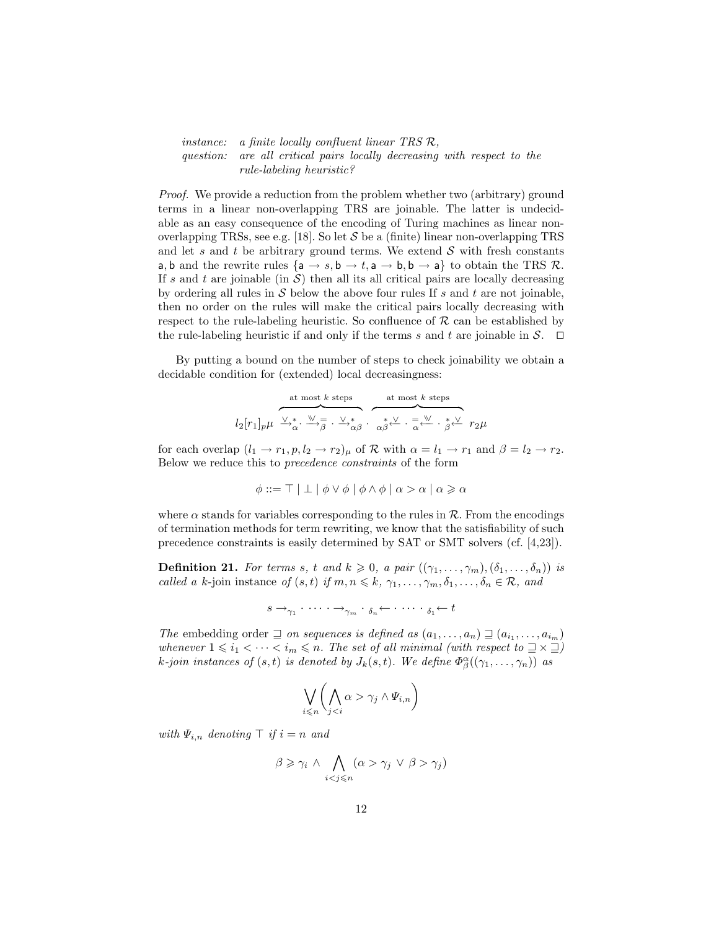instance: a finite locally confluent linear TRS  $\mathcal{R}$ , question: are all critical pairs locally decreasing with respect to the rule-labeling heuristic?

Proof. We provide a reduction from the problem whether two (arbitrary) ground terms in a linear non-overlapping TRS are joinable. The latter is undecidable as an easy consequence of the encoding of Turing machines as linear nonoverlapping TRSs, see e.g. [18]. So let  $S$  be a (finite) linear non-overlapping TRS and let s and t be arbitrary ground terms. We extend  $S$  with fresh constants a, b and the rewrite rules  ${a \rightarrow s, b \rightarrow t, a \rightarrow b, b \rightarrow a}$  to obtain the TRS R. If s and t are joinable (in  $S$ ) then all its all critical pairs are locally decreasing by ordering all rules in  $S$  below the above four rules If s and t are not joinable, then no order on the rules will make the critical pairs locally decreasing with respect to the rule-labeling heuristic. So confluence of  $R$  can be established by the rule-labeling heuristic if and only if the terms s and t are joinable in  $\mathcal{S}$ .  $\Box$ 

By putting a bound on the number of steps to check joinability we obtain a decidable condition for (extended) local decreasingness:

$$
l_2[r_1]_p\mu \xrightarrow{\vee\atop{\vee}\lambda^*_\alpha\cdot\,\,\swarrow\atop{\wedge}\beta}\, \overbrace{\longrightarrow_{\alpha\beta}^{\text{at most $k$ steps}}\, \overbrace{\alpha\beta^{\,\,\swarrow}\,\cdot\, \overbrace{\alpha^{\,\,\swarrow}}^{\text{at most $k$ steps}}\, \overbrace{r_2\mu}^{\text{at most $k$ steps}}
$$

for each overlap  $(l_1 \rightarrow r_1, p, l_2 \rightarrow r_2)_{\mu}$  of  $\mathcal{R}$  with  $\alpha = l_1 \rightarrow r_1$  and  $\beta = l_2 \rightarrow r_2$ . Below we reduce this to precedence constraints of the form

$$
\phi ::= \top | \bot | \phi \vee \phi | \phi \wedge \phi | \alpha > \alpha | \alpha \ge \alpha
$$

where  $\alpha$  stands for variables corresponding to the rules in  $\mathcal{R}$ . From the encodings of termination methods for term rewriting, we know that the satisfiability of such precedence constraints is easily determined by SAT or SMT solvers (cf. [4,23]).

**Definition 21.** For terms s, t and  $k \geq 0$ , a pair  $((\gamma_1, \ldots, \gamma_m), (\delta_1, \ldots, \delta_n))$  is called a k-join instance of  $(s, t)$  if  $m, n \leq k, \gamma_1, \ldots, \gamma_m, \delta_1, \ldots, \delta_n \in \mathcal{R}$ , and

$$
s \to_{\gamma_1} \cdot \cdots \cdot \to_{\gamma_m} \cdot \delta_n \leftarrow \cdots \cdot \delta_1 \leftarrow t
$$

The embedding order  $\supseteq$  on sequences is defined as  $(a_1, \ldots, a_n) \supseteq (a_{i_1}, \ldots, a_{i_m})$ whenever  $1 \leq i_1 < \cdots < i_m \leq n$ . The set of all minimal (with respect to  $\exists \times \exists$ ) k-join instances of  $(s,t)$  is denoted by  $J_k(s,t)$ . We define  $\Phi_{\beta}^{\alpha}((\gamma_1,\ldots,\gamma_n))$  as

$$
\bigvee_{i\leqslant n}\bigwedge_{j\gamma_j\wedge \varPsi_{i,n}\bigg)
$$

with  $\Psi_{i,n}$  denoting  $\top$  if  $i = n$  and

$$
\beta \geq \gamma_i \wedge \bigwedge_{i < j \leq n} (\alpha > \gamma_j \vee \beta > \gamma_j)
$$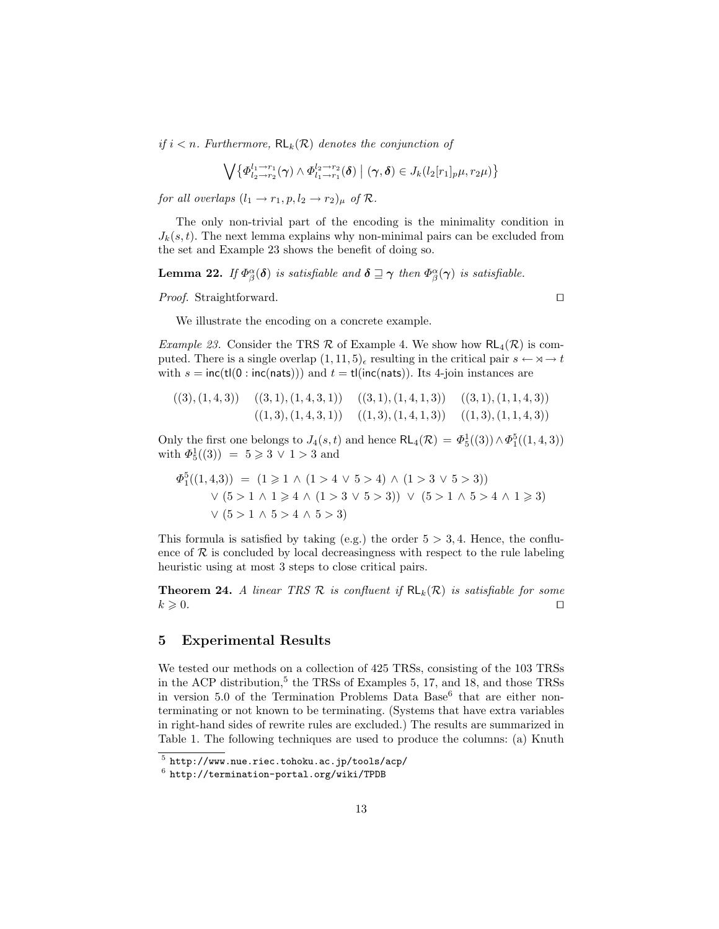if  $i < n$ . Furthermore,  $\mathsf{RL}_k(\mathcal{R})$  denotes the conjunction of

$$
\bigvee \big\{ \varPhi_{l_2 \to r_2}^{l_1 \to r_1}(\gamma) \wedge \varPhi_{l_1 \to r_1}^{l_2 \to r_2}(\boldsymbol{\delta}) \mid (\gamma, \boldsymbol{\delta}) \in J_k(l_2[r_1]_p \mu, r_2 \mu) \big\}
$$

for all overlaps  $(l_1 \rightarrow r_1, p, l_2 \rightarrow r_2)_{\mu}$  of  $\mathcal{R}$ .

The only non-trivial part of the encoding is the minimality condition in  $J_k(s, t)$ . The next lemma explains why non-minimal pairs can be excluded from the set and Example 23 shows the benefit of doing so.

**Lemma 22.** If  $\Phi_{\beta}^{\alpha}(\delta)$  is satisfiable and  $\delta \sqsupseteq \gamma$  then  $\Phi_{\beta}^{\alpha}(\gamma)$  is satisfiable.

*Proof.* Straightforward.  $\Box$ 

We illustrate the encoding on a concrete example.

*Example 23.* Consider the TRS  $\mathcal R$  of Example 4. We show how  $\mathsf{RL}_4(\mathcal{R})$  is computed. There is a single overlap  $(1, 11, 5)$ , resulting in the critical pair  $s \leftarrow \infty \rightarrow t$ with  $s = inc(t|(0 : inc(nats)))$  and  $t = tl(inc(nats))$ . Its 4-join instances are

$$
((3), (1,4,3))
$$
  $((3,1), (1,4,3,1))$   $((3,1), (1,4,1,3))$   $((3,1), (1,1,4,3))$   
 $((1,3), (1,4,3,1))$   $((1,3), (1,4,1,3))$   $((1,3), (1,1,4,3))$ 

Only the first one belongs to  $J_4(s,t)$  and hence  $\mathsf{RL}_4(\mathcal{R}) = \Phi_5^1((3)) \wedge \Phi_1^5((1,4,3))$ with  $\Phi_5^1((3)) = 5 \ge 3 \vee 1 > 3$  and

$$
\Phi_1^5((1,4,3)) = (1 \ge 1 \land (1 > 4 \lor 5 > 4) \land (1 > 3 \lor 5 > 3))
$$
  
 
$$
\lor (5 > 1 \land 1 \ge 4 \land (1 > 3 \lor 5 > 3)) \lor (5 > 1 \land 5 > 4 \land 1 \ge 3)
$$
  
 
$$
\lor (5 > 1 \land 5 > 4 \land 5 > 3)
$$

This formula is satisfied by taking (e.g.) the order  $5 > 3, 4$ . Hence, the confluence of  $R$  is concluded by local decreasingness with respect to the rule labeling heuristic using at most 3 steps to close critical pairs.

**Theorem 24.** A linear TRS  $\mathcal{R}$  is confluent if  $\mathsf{RL}_k(\mathcal{R})$  is satisfiable for some  $k \geqslant 0.$ 

# 5 Experimental Results

We tested our methods on a collection of 425 TRSs, consisting of the 103 TRSs in the ACP distribution,<sup>5</sup> the TRSs of Examples 5, 17, and 18, and those TRSs in version 5.0 of the Termination Problems Data Base<sup>6</sup> that are either nonterminating or not known to be terminating. (Systems that have extra variables in right-hand sides of rewrite rules are excluded.) The results are summarized in Table 1. The following techniques are used to produce the columns: (a) Knuth

 $^5$  http://www.nue.riec.tohoku.ac.jp/tools/acp/

 $^6$  http://termination-portal.org/wiki/TPDB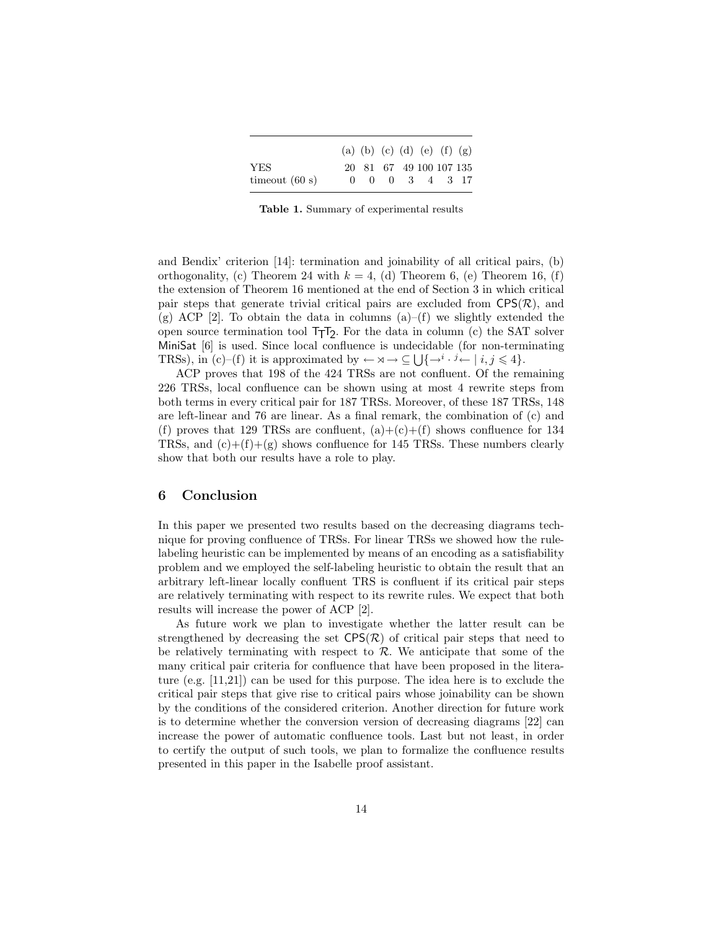|                  | (a) (b) (c) (d) (e) (f) (g)        |  |  |  |
|------------------|------------------------------------|--|--|--|
| YES              | 20 81 67 49 100 107 135            |  |  |  |
| timeout $(60 s)$ | $0 \t 0 \t 0 \t 3 \t 4 \t 3 \t 17$ |  |  |  |

Table 1. Summary of experimental results

and Bendix' criterion [14]: termination and joinability of all critical pairs, (b) orthogonality, (c) Theorem 24 with  $k = 4$ , (d) Theorem 6, (e) Theorem 16, (f) the extension of Theorem 16 mentioned at the end of Section 3 in which critical pair steps that generate trivial critical pairs are excluded from  $CPS(\mathcal{R})$ , and (g) ACP [2]. To obtain the data in columns  $(a)$ –(f) we slightly extended the open source termination tool TTT2 . For the data in column (c) the SAT solver MiniSat [6] is used. Since local confluence is undecidable (for non-terminating TRSs), in  $(c)$ -(f) it is approximated by  $\leftarrow \forall \rightarrow \subseteq \bigcup \{\rightarrow^i \cdot \rightarrow^i \leftarrow | i, j \leq 4\}.$ 

ACP proves that 198 of the 424 TRSs are not confluent. Of the remaining 226 TRSs, local confluence can be shown using at most 4 rewrite steps from both terms in every critical pair for 187 TRSs. Moreover, of these 187 TRSs, 148 are left-linear and 76 are linear. As a final remark, the combination of (c) and (f) proves that 129 TRSs are confluent,  $(a)+(c)+(f)$  shows confluence for 134 TRSs, and  $(c)+(f)+(g)$  shows confluence for 145 TRSs. These numbers clearly show that both our results have a role to play.

# 6 Conclusion

In this paper we presented two results based on the decreasing diagrams technique for proving confluence of TRSs. For linear TRSs we showed how the rulelabeling heuristic can be implemented by means of an encoding as a satisfiability problem and we employed the self-labeling heuristic to obtain the result that an arbitrary left-linear locally confluent TRS is confluent if its critical pair steps are relatively terminating with respect to its rewrite rules. We expect that both results will increase the power of ACP [2].

As future work we plan to investigate whether the latter result can be strengthened by decreasing the set  $CPS(\mathcal{R})$  of critical pair steps that need to be relatively terminating with respect to  $R$ . We anticipate that some of the many critical pair criteria for confluence that have been proposed in the literature (e.g. [11,21]) can be used for this purpose. The idea here is to exclude the critical pair steps that give rise to critical pairs whose joinability can be shown by the conditions of the considered criterion. Another direction for future work is to determine whether the conversion version of decreasing diagrams [22] can increase the power of automatic confluence tools. Last but not least, in order to certify the output of such tools, we plan to formalize the confluence results presented in this paper in the Isabelle proof assistant.